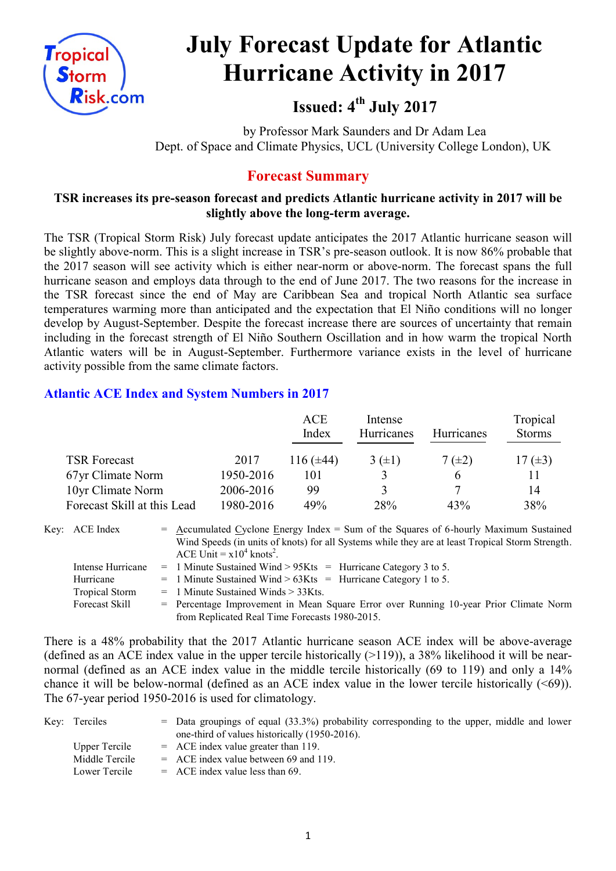

# **July Forecast Update for Atlantic Hurricane Activity in 2017**

**Issued: 4 th July 2017**

by Professor Mark Saunders and Dr Adam Lea Dept. of Space and Climate Physics, UCL (University College London), UK

# **Forecast Summary**

#### **TSR increases its pre-season forecast and predicts Atlantic hurricane activity in 2017 will be slightly above the long-term average.**

The TSR (Tropical Storm Risk) July forecast update anticipates the 2017 Atlantic hurricane season will be slightly above-norm. This is a slight increase in TSR's pre-season outlook. It is now 86% probable that the 2017 season will see activity which is either near-norm or above-norm. The forecast spans the full hurricane season and employs data through to the end of June 2017. The two reasons for the increase in the TSR forecast since the end of May are Caribbean Sea and tropical North Atlantic sea surface temperatures warming more than anticipated and the expectation that El Niño conditions will no longer develop by August-September. Despite the forecast increase there are sources of uncertainty that remain including in the forecast strength of El Niño Southern Oscillation and in how warm the tropical North Atlantic waters will be in August-September. Furthermore variance exists in the level of hurricane activity possible from the same climate factors.

# **Atlantic ACE Index and System Numbers in 2017**

|                             |           | <b>ACE</b><br>Index | Intense<br>Hurricanes | <b>Hurricanes</b> | Tropical<br><b>Storms</b> |
|-----------------------------|-----------|---------------------|-----------------------|-------------------|---------------------------|
| <b>TSR Forecast</b>         | 2017      | 116 $(\pm 44)$      | $3(\pm 1)$            | $7(\pm 2)$        | 17 $(\pm 3)$              |
| 67yr Climate Norm           | 1950-2016 | 101                 |                       | 6                 |                           |
| 10yr Climate Norm           | 2006-2016 | 99                  | 3                     |                   | 14                        |
| Forecast Skill at this Lead | 1980-2016 | 49%                 | 28%                   | 43%               | 38%                       |

Key: ACE Index  $=$  Accumulated Cyclone Energy Index  $=$  Sum of the Squares of 6-hourly Maximum Sustained Wind Speeds (in units of knots) for all Systems while they are at least Tropical Storm Strength.

|                       | ACE Unit = $x10^4$ knots <sup>2</sup> .                                               |
|-----------------------|---------------------------------------------------------------------------------------|
| Intense Hurricane     | $=$ 1 Minute Sustained Wind > 95Kts $=$ Hurricane Category 3 to 5.                    |
| Hurricane             | $=$ 1 Minute Sustained Wind > 63Kts = Hurricane Category 1 to 5.                      |
| <b>Tropical Storm</b> | $=$ 1 Minute Sustained Winds $>$ 33Kts.                                               |
| Forecast Skill        | = Percentage Improvement in Mean Square Error over Running 10-year Prior Climate Norm |
|                       | from Replicated Real Time Forecasts 1980-2015.                                        |

There is a 48% probability that the 2017 Atlantic hurricane season ACE index will be above-average (defined as an ACE index value in the upper tercile historically  $(>119)$ ), a 38% likelihood it will be nearnormal (defined as an ACE index value in the middle tercile historically (69 to 119) and only a 14% chance it will be below-normal (defined as an ACE index value in the lower tercile historically (<69)). The 67-year period 1950-2016 is used for climatology.

| Key: Terciles        | $=$ Data groupings of equal (33.3%) probability corresponding to the upper, middle and lower |
|----------------------|----------------------------------------------------------------------------------------------|
|                      | one-third of values historically (1950-2016).                                                |
| <b>Upper Tercile</b> | $=$ ACE index value greater than 119.                                                        |
| Middle Tercile       | $=$ ACE index value between 69 and 119.                                                      |
| Lower Tercile        | $=$ ACE index value less than 69.                                                            |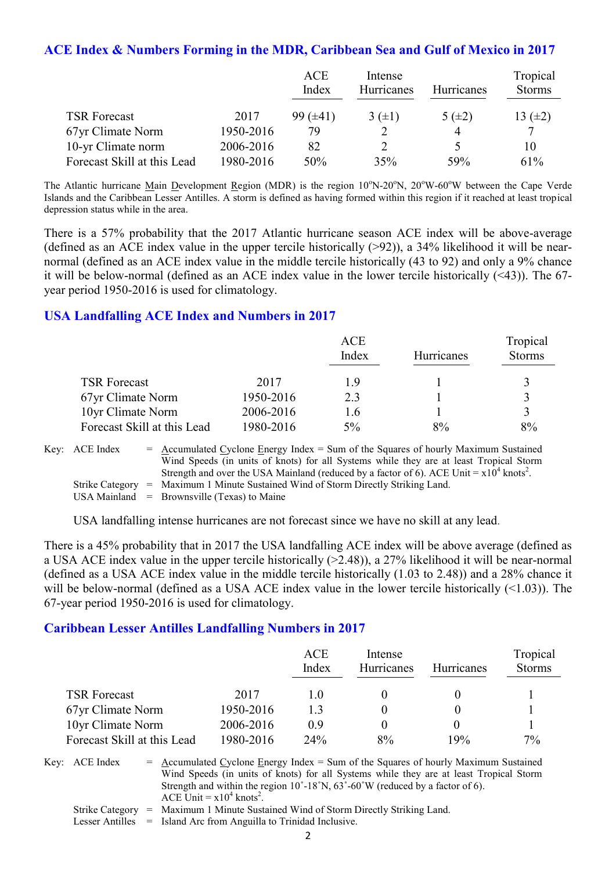#### **ACE Index & Numbers Forming in the MDR, Caribbean Sea and Gulf of Mexico in 2017**

|                             |           | <b>ACE</b><br>Index | Intense<br>Hurricanes | <b>Hurricanes</b> | Tropical<br><b>Storms</b> |
|-----------------------------|-----------|---------------------|-----------------------|-------------------|---------------------------|
| <b>TSR Forecast</b>         | 2017      | $99 \ (\pm 41)$     | $3(\pm 1)$            | 5 $(\pm 2)$       | 13 $(\pm 2)$              |
| 67yr Climate Norm           | 1950-2016 | 79                  |                       | 4                 | 7                         |
| 10-yr Climate norm          | 2006-2016 | 82                  |                       |                   | 10                        |
| Forecast Skill at this Lead | 1980-2016 | 50%                 | 35%                   | 59%               | 61%                       |

The Atlantic hurricane Main Development Region (MDR) is the region  $10^{\circ}$ N-20<sup>o</sup>N,  $20^{\circ}$ W-60<sup>o</sup>W between the Cape Verde Islands and the Caribbean Lesser Antilles. A storm is defined as having formed within this region if it reached at least tropical depression status while in the area.

There is a 57% probability that the 2017 Atlantic hurricane season ACE index will be above-average (defined as an ACE index value in the upper tercile historically (>92)), a 34% likelihood it will be nearnormal (defined as an ACE index value in the middle tercile historically (43 to 92) and only a 9% chance it will be below-normal (defined as an ACE index value in the lower tercile historically (<43)). The 67 year period 1950-2016 is used for climatology.

#### **USA Landfalling ACE Index and Numbers in 2017**

|                             |           | <b>ACE</b><br>Index | <b>Hurricanes</b> | Tropical<br><b>Storms</b> |
|-----------------------------|-----------|---------------------|-------------------|---------------------------|
| <b>TSR Forecast</b>         | 2017      | 19                  |                   |                           |
| 67yr Climate Norm           | 1950-2016 | 2.3                 |                   | $\mathbf{a}$              |
| 10yr Climate Norm           | 2006-2016 | 16                  |                   | 2                         |
| Forecast Skill at this Lead | 1980-2016 | $5\%$               | 8%                | 8%                        |

| Key: ACE Index | $=$ Accumulated Cyclone Energy Index $=$ Sum of the Squares of hourly Maximum Sustained                |
|----------------|--------------------------------------------------------------------------------------------------------|
|                | Wind Speeds (in units of knots) for all Systems while they are at least Tropical Storm                 |
|                | Strength and over the USA Mainland (reduced by a factor of 6). ACE Unit $= x10^4$ knots <sup>2</sup> . |
|                | Strike Category = Maximum 1 Minute Sustained Wind of Storm Directly Striking Land.                     |
|                |                                                                                                        |

USA Mainland  $=$  Brownsville (Texas) to Maine

USA landfalling intense hurricanes are not forecast since we have no skill at any lead.

There is a 45% probability that in 2017 the USA landfalling ACE index will be above average (defined as a USA ACE index value in the upper tercile historically (>2.48)), a 27% likelihood it will be near-normal (defined as a USA ACE index value in the middle tercile historically (1.03 to 2.48)) and a 28% chance it will be below-normal (defined as a USA ACE index value in the lower tercile historically (<1.03)). The 67-year period 1950-2016 is used for climatology.

#### **Caribbean Lesser Antilles Landfalling Numbers in 2017**

|                             |           | ACE<br>Index | Intense<br>Hurricanes | <b>Hurricanes</b> | Tropical<br><b>Storms</b> |
|-----------------------------|-----------|--------------|-----------------------|-------------------|---------------------------|
| <b>TSR Forecast</b>         | 2017      | l ()         |                       |                   |                           |
| 67yr Climate Norm           | 1950-2016 | 13           |                       |                   |                           |
| 10yr Climate Norm           | 2006-2016 | 09           |                       |                   |                           |
| Forecast Skill at this Lead | 1980-2016 | 24%          | 8%                    | 19%               | $7\%$                     |

Key:  $ACE Index = Accumulated Cyclone Energy Index = Sum of the Squares of hourly Maximum Sustainable$ Wind Speeds (in units of knots) for all Systems while they are at least Tropical Storm Strength and within the region 10˚-18˚N, 63˚-60˚W (reduced by a factor of 6). ACE Unit =  $x10^4$  knots<sup>2</sup>.

Strike Category = Maximum 1 Minute Sustained Wind of Storm Directly Striking Land.

Lesser Antilles = Island Arc from Anguilla to Trinidad Inclusive.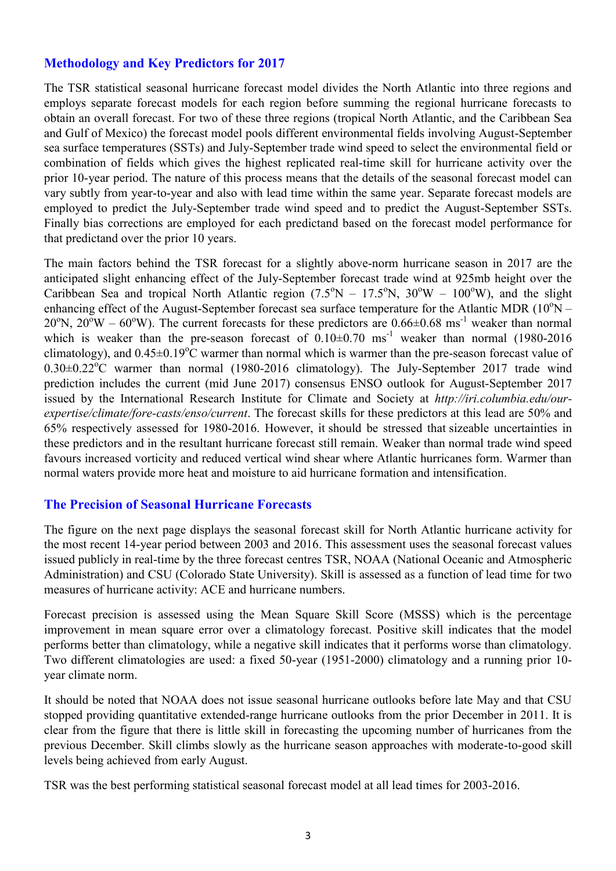# **Methodology and Key Predictors for 2017**

The TSR statistical seasonal hurricane forecast model divides the North Atlantic into three regions and employs separate forecast models for each region before summing the regional hurricane forecasts to obtain an overall forecast. For two of these three regions (tropical North Atlantic, and the Caribbean Sea and Gulf of Mexico) the forecast model pools different environmental fields involving August-September sea surface temperatures (SSTs) and July-September trade wind speed to select the environmental field or combination of fields which gives the highest replicated real-time skill for hurricane activity over the prior 10-year period. The nature of this process means that the details of the seasonal forecast model can vary subtly from year-to-year and also with lead time within the same year. Separate forecast models are employed to predict the July-September trade wind speed and to predict the August-September SSTs. Finally bias corrections are employed for each predictand based on the forecast model performance for that predictand over the prior 10 years.

The main factors behind the TSR forecast for a slightly above-norm hurricane season in 2017 are the anticipated slight enhancing effect of the July-September forecast trade wind at 925mb height over the Caribbean Sea and tropical North Atlantic region  $(7.5^{\circ}N - 17.5^{\circ}N, 30^{\circ}W - 100^{\circ}W)$ , and the slight enhancing effect of the August-September forecast sea surface temperature for the Atlantic MDR  $(10^{\circ}N -$ 20<sup>o</sup>N, 20<sup>o</sup>W – 60<sup>o</sup>W). The current forecasts for these predictors are 0.66 $\pm$ 0.68 ms<sup>-1</sup> weaker than normal which is weaker than the pre-season forecast of  $0.10\pm0.70$  ms<sup>-1</sup> weaker than normal (1980-2016) climatology), and  $0.45\pm0.19^{\circ}$ C warmer than normal which is warmer than the pre-season forecast value of  $0.30\pm0.22$ <sup>o</sup>C warmer than normal (1980-2016 climatology). The July-September 2017 trade wind prediction includes the current (mid June 2017) consensus ENSO outlook for August-September 2017 issued by the International Research Institute for Climate and Society at *http://iri.columbia.edu/ourexpertise/climate/fore-casts/enso/current*. The forecast skills for these predictors at this lead are 50% and 65% respectively assessed for 1980-2016. However, it should be stressed that sizeable uncertainties in these predictors and in the resultant hurricane forecast still remain. Weaker than normal trade wind speed favours increased vorticity and reduced vertical wind shear where Atlantic hurricanes form. Warmer than normal waters provide more heat and moisture to aid hurricane formation and intensification.

#### **The Precision of Seasonal Hurricane Forecasts**

The figure on the next page displays the seasonal forecast skill for North Atlantic hurricane activity for the most recent 14-year period between 2003 and 2016. This assessment uses the seasonal forecast values issued publicly in real-time by the three forecast centres TSR, NOAA (National Oceanic and Atmospheric Administration) and CSU (Colorado State University). Skill is assessed as a function of lead time for two measures of hurricane activity: ACE and hurricane numbers.

Forecast precision is assessed using the Mean Square Skill Score (MSSS) which is the percentage improvement in mean square error over a climatology forecast. Positive skill indicates that the model performs better than climatology, while a negative skill indicates that it performs worse than climatology. Two different climatologies are used: a fixed 50-year (1951-2000) climatology and a running prior 10 year climate norm.

It should be noted that NOAA does not issue seasonal hurricane outlooks before late May and that CSU stopped providing quantitative extended-range hurricane outlooks from the prior December in 2011. It is clear from the figure that there is little skill in forecasting the upcoming number of hurricanes from the previous December. Skill climbs slowly as the hurricane season approaches with moderate-to-good skill levels being achieved from early August.

TSR was the best performing statistical seasonal forecast model at all lead times for 2003-2016.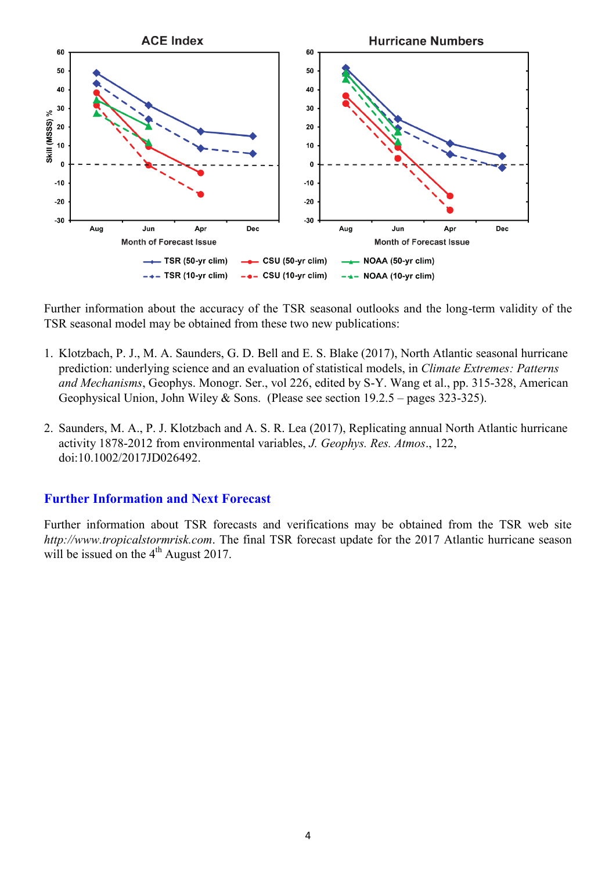

Further information about the accuracy of the TSR seasonal outlooks and the long-term validity of the TSR seasonal model may be obtained from these two new publications:

- 1. Klotzbach, P. J., M. A. Saunders, G. D. Bell and E. S. Blake (2017), North Atlantic seasonal hurricane prediction: underlying science and an evaluation of statistical models, in *Climate Extremes: Patterns and Mechanisms*, Geophys. Monogr. Ser., vol 226, edited by S-Y. Wang et al., pp. 315-328, American Geophysical Union, John Wiley & Sons. (Please see section 19.2.5 – pages 323-325).
- 2. Saunders, M. A., P. J. Klotzbach and A. S. R. Lea (2017), Replicating annual North Atlantic hurricane activity 1878-2012 from environmental variables, *J. Geophys. Res. Atmos*., 122, doi:10.1002/2017JD026492.

#### **Further Information and Next Forecast**

Further information about TSR forecasts and verifications may be obtained from the TSR web site *http://www.tropicalstormrisk.com*. The final TSR forecast update for the 2017 Atlantic hurricane season will be issued on the  $4<sup>th</sup>$  August 2017.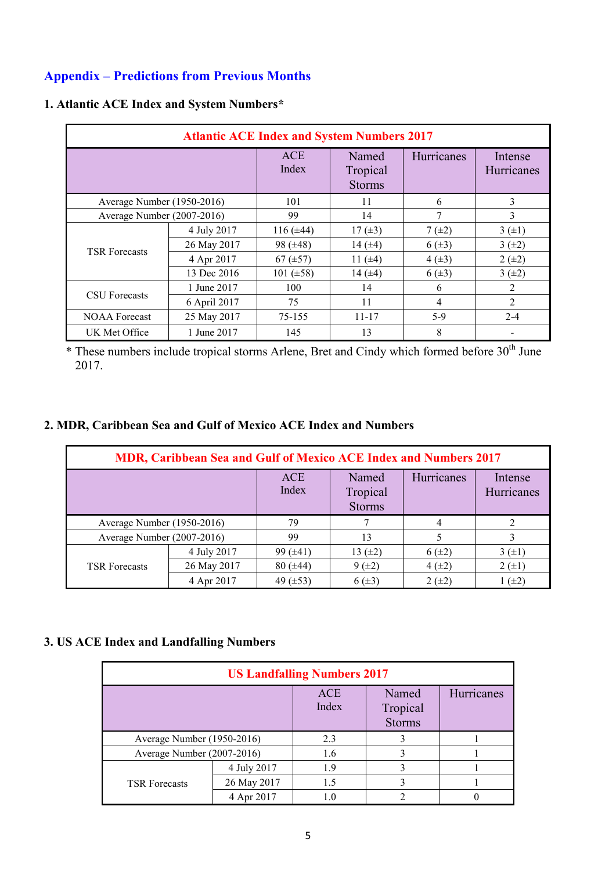# **Appendix – Predictions from Previous Months**

| <b>Atlantic ACE Index and System Numbers 2017</b> |              |                     |                                    |            |                       |  |  |
|---------------------------------------------------|--------------|---------------------|------------------------------------|------------|-----------------------|--|--|
|                                                   |              | <b>ACE</b><br>Index | Named<br>Tropical<br><b>Storms</b> | Hurricanes | Intense<br>Hurricanes |  |  |
| Average Number (1950-2016)                        |              | 101                 | 11                                 | 6          | 3                     |  |  |
| Average Number (2007-2016)                        |              | 99                  | 14                                 | 7          | 3                     |  |  |
|                                                   | 4 July 2017  | 116 $(\pm 44)$      | 17 $(\pm 3)$                       | $7(\pm 2)$ | 3(±1)                 |  |  |
|                                                   | 26 May 2017  | 98 $(\pm 48)$       | 14 $(\pm 4)$                       | $6(\pm 3)$ | 3(±2)                 |  |  |
| <b>TSR Forecasts</b>                              | 4 Apr 2017   | $67 (\pm 57)$       | 11 $(\pm 4)$                       | $4(\pm 3)$ | $2 (+2)$              |  |  |
|                                                   | 13 Dec 2016  | 101 $(\pm 58)$      | 14 $(\pm 4)$                       | $6(\pm 3)$ | 3(±2)                 |  |  |
|                                                   | 1 June 2017  | 100                 | 14                                 | 6          | 2                     |  |  |
| <b>CSU</b> Forecasts                              | 6 April 2017 | 75                  | 11                                 | 4          | 2                     |  |  |
| <b>NOAA Forecast</b>                              | 25 May 2017  | 75-155              | $11 - 17$                          | 5-9        | $2 - 4$               |  |  |
| UK Met Office                                     | 1 June 2017  | 145                 | 13                                 | 8          |                       |  |  |

### **1. Atlantic ACE Index and System Numbers\***

\* These numbers include tropical storms Arlene, Bret and Cindy which formed before 30<sup>th</sup> June 2017.

#### **2. MDR, Caribbean Sea and Gulf of Mexico ACE Index and Numbers**

| MDR, Caribbean Sea and Gulf of Mexico ACE Index and Numbers 2017 |             |                     |                                    |            |                       |  |  |
|------------------------------------------------------------------|-------------|---------------------|------------------------------------|------------|-----------------------|--|--|
|                                                                  |             | <b>ACE</b><br>Index | Named<br>Tropical<br><b>Storms</b> | Hurricanes | Intense<br>Hurricanes |  |  |
| Average Number (1950-2016)                                       |             | 79                  |                                    | 4          |                       |  |  |
| Average Number (2007-2016)                                       |             | 99                  | 13                                 |            |                       |  |  |
| <b>TSR Forecasts</b>                                             | 4 July 2017 | 99 $(\pm 41)$       | 13 $(\pm 2)$                       | $6(\pm 2)$ | 3(±1)                 |  |  |
|                                                                  | 26 May 2017 | $80 (\pm 44)$       | $9(\pm 2)$                         | $4(\pm 2)$ | $2 (+1)$              |  |  |
|                                                                  | 4 Apr 2017  | 49 $(\pm 53)$       | $6(\pm 3)$                         | $2 (+2)$   | $(\pm 2)$             |  |  |

# **3. US ACE Index and Landfalling Numbers**

| <b>US Landfalling Numbers 2017</b> |             |                     |                                    |            |  |  |  |
|------------------------------------|-------------|---------------------|------------------------------------|------------|--|--|--|
|                                    |             | <b>ACE</b><br>Index | Named<br>Tropical<br><b>Storms</b> | Hurricanes |  |  |  |
| Average Number (1950-2016)         |             | 2.3                 |                                    |            |  |  |  |
| Average Number (2007-2016)         |             | 1.6                 |                                    |            |  |  |  |
|                                    | 4 July 2017 | 19                  |                                    |            |  |  |  |
| <b>TSR</b> Forecasts               | 26 May 2017 | 1.5                 |                                    |            |  |  |  |
|                                    | 4 Apr 2017  |                     |                                    |            |  |  |  |